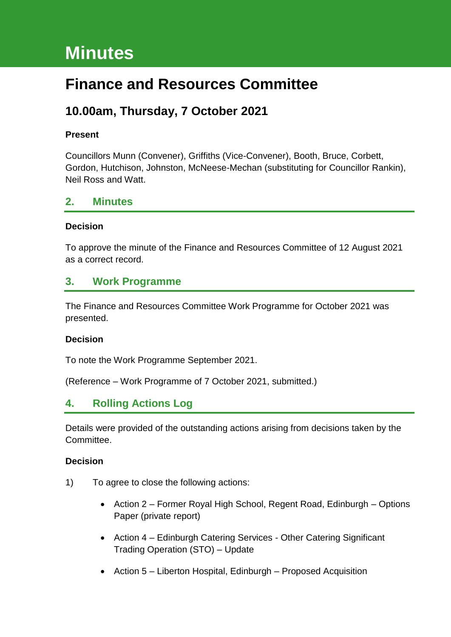# **Minutes**

## **Finance and Resources Committee**

### **10.00am, Thursday, 7 October 2021**

#### **Present**

Councillors Munn (Convener), Griffiths (Vice-Convener), Booth, Bruce, Corbett, Gordon, Hutchison, Johnston, McNeese-Mechan (substituting for Councillor Rankin), Neil Ross and Watt.

#### **2. Minutes**

#### **Decision**

To approve the minute of the Finance and Resources Committee of 12 August 2021 as a correct record.

#### **3. Work Programme**

The Finance and Resources Committee Work Programme for October 2021 was presented.

#### **Decision**

To note the Work Programme September 2021.

(Reference – Work Programme of 7 October 2021, submitted.)

### **4. Rolling Actions Log**

Details were provided of the outstanding actions arising from decisions taken by the Committee.

#### **Decision**

- 1) To agree to close the following actions:
	- Action 2 Former Royal High School, Regent Road, Edinburgh Options Paper (private report)
	- Action 4 Edinburgh Catering Services Other Catering Significant Trading Operation (STO) – Update
	- Action 5 Liberton Hospital, Edinburgh Proposed Acquisition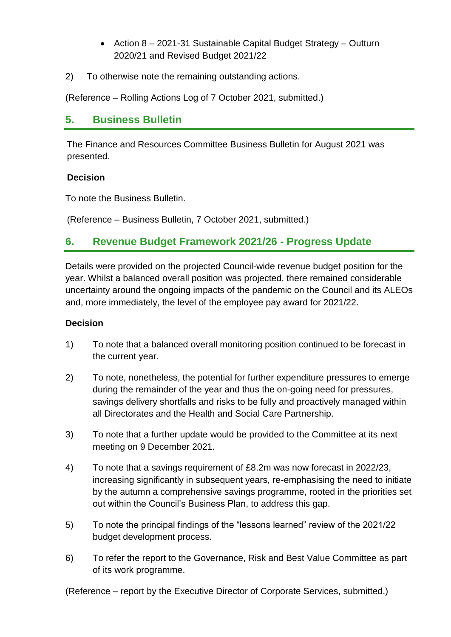- Action 8 2021-31 Sustainable Capital Budget Strategy Outturn 2020/21 and Revised Budget 2021/22
- 2) To otherwise note the remaining outstanding actions.

(Reference – Rolling Actions Log of 7 October 2021, submitted.)

### **5. Business Bulletin**

The Finance and Resources Committee Business Bulletin for August 2021 was presented.

#### **Decision**

To note the Business Bulletin.

(Reference – Business Bulletin, 7 October 2021, submitted.)

### **6. Revenue Budget Framework 2021/26 - Progress Update**

Details were provided on the projected Council-wide revenue budget position for the year. Whilst a balanced overall position was projected, there remained considerable uncertainty around the ongoing impacts of the pandemic on the Council and its ALEOs and, more immediately, the level of the employee pay award for 2021/22.

#### **Decision**

- 1) To note that a balanced overall monitoring position continued to be forecast in the current year.
- 2) To note, nonetheless, the potential for further expenditure pressures to emerge during the remainder of the year and thus the on-going need for pressures, savings delivery shortfalls and risks to be fully and proactively managed within all Directorates and the Health and Social Care Partnership.
- 3) To note that a further update would be provided to the Committee at its next meeting on 9 December 2021.
- 4) To note that a savings requirement of £8.2m was now forecast in 2022/23, increasing significantly in subsequent years, re-emphasising the need to initiate by the autumn a comprehensive savings programme, rooted in the priorities set out within the Council's Business Plan, to address this gap.
- 5) To note the principal findings of the "lessons learned" review of the 2021/22 budget development process.
- 6) To refer the report to the Governance, Risk and Best Value Committee as part of its work programme.

(Reference – report by the Executive Director of Corporate Services, submitted.)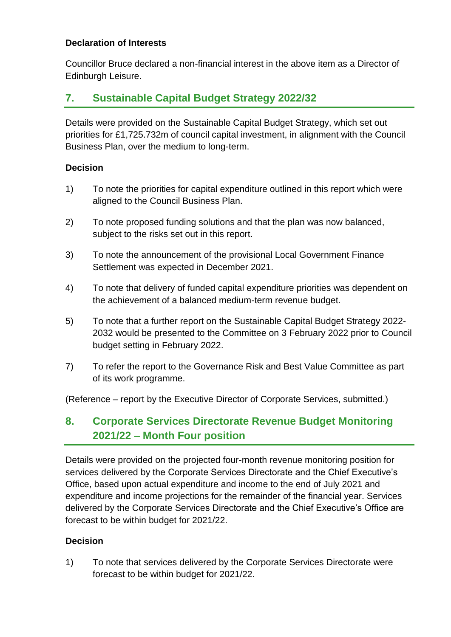#### **Declaration of Interests**

Councillor Bruce declared a non-financial interest in the above item as a Director of Edinburgh Leisure.

### **7. Sustainable Capital Budget Strategy 2022/32**

Details were provided on the Sustainable Capital Budget Strategy, which set out priorities for £1,725.732m of council capital investment, in alignment with the Council Business Plan, over the medium to long-term.

#### **Decision**

- 1) To note the priorities for capital expenditure outlined in this report which were aligned to the Council Business Plan.
- 2) To note proposed funding solutions and that the plan was now balanced, subject to the risks set out in this report.
- 3) To note the announcement of the provisional Local Government Finance Settlement was expected in December 2021.
- 4) To note that delivery of funded capital expenditure priorities was dependent on the achievement of a balanced medium-term revenue budget.
- 5) To note that a further report on the Sustainable Capital Budget Strategy 2022- 2032 would be presented to the Committee on 3 February 2022 prior to Council budget setting in February 2022.
- 7) To refer the report to the Governance Risk and Best Value Committee as part of its work programme.

(Reference – report by the Executive Director of Corporate Services, submitted.)

### **8. Corporate Services Directorate Revenue Budget Monitoring 2021/22 – Month Four position**

Details were provided on the projected four-month revenue monitoring position for services delivered by the Corporate Services Directorate and the Chief Executive's Office, based upon actual expenditure and income to the end of July 2021 and expenditure and income projections for the remainder of the financial year. Services delivered by the Corporate Services Directorate and the Chief Executive's Office are forecast to be within budget for 2021/22.

#### **Decision**

1) To note that services delivered by the Corporate Services Directorate were forecast to be within budget for 2021/22.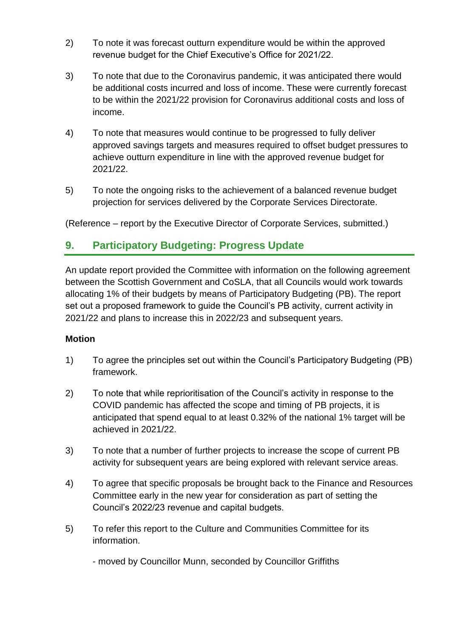- 2) To note it was forecast outturn expenditure would be within the approved revenue budget for the Chief Executive's Office for 2021/22.
- 3) To note that due to the Coronavirus pandemic, it was anticipated there would be additional costs incurred and loss of income. These were currently forecast to be within the 2021/22 provision for Coronavirus additional costs and loss of income.
- 4) To note that measures would continue to be progressed to fully deliver approved savings targets and measures required to offset budget pressures to achieve outturn expenditure in line with the approved revenue budget for 2021/22.
- 5) To note the ongoing risks to the achievement of a balanced revenue budget projection for services delivered by the Corporate Services Directorate.

(Reference – report by the Executive Director of Corporate Services, submitted.)

### **9. Participatory Budgeting: Progress Update**

An update report provided the Committee with information on the following agreement between the Scottish Government and CoSLA, that all Councils would work towards allocating 1% of their budgets by means of Participatory Budgeting (PB). The report set out a proposed framework to guide the Council's PB activity, current activity in 2021/22 and plans to increase this in 2022/23 and subsequent years.

#### **Motion**

- 1) To agree the principles set out within the Council's Participatory Budgeting (PB) framework.
- 2) To note that while reprioritisation of the Council's activity in response to the COVID pandemic has affected the scope and timing of PB projects, it is anticipated that spend equal to at least 0.32% of the national 1% target will be achieved in 2021/22.
- 3) To note that a number of further projects to increase the scope of current PB activity for subsequent years are being explored with relevant service areas.
- 4) To agree that specific proposals be brought back to the Finance and Resources Committee early in the new year for consideration as part of setting the Council's 2022/23 revenue and capital budgets.
- 5) To refer this report to the Culture and Communities Committee for its information.
	- moved by Councillor Munn, seconded by Councillor Griffiths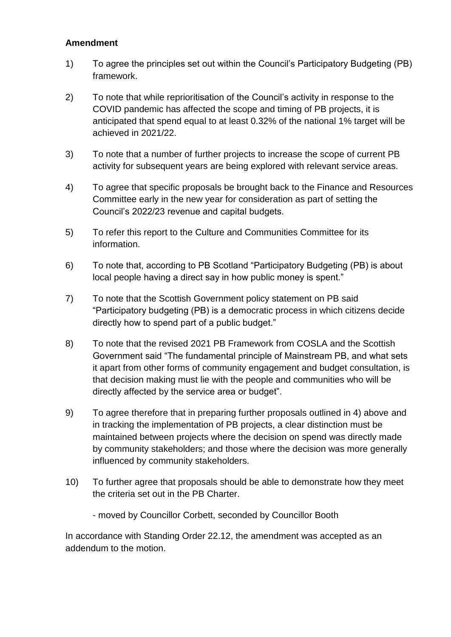#### **Amendment**

- 1) To agree the principles set out within the Council's Participatory Budgeting (PB) framework.
- 2) To note that while reprioritisation of the Council's activity in response to the COVID pandemic has affected the scope and timing of PB projects, it is anticipated that spend equal to at least 0.32% of the national 1% target will be achieved in 2021/22.
- 3) To note that a number of further projects to increase the scope of current PB activity for subsequent years are being explored with relevant service areas.
- 4) To agree that specific proposals be brought back to the Finance and Resources Committee early in the new year for consideration as part of setting the Council's 2022/23 revenue and capital budgets.
- 5) To refer this report to the Culture and Communities Committee for its information.
- 6) To note that, according to PB Scotland "Participatory Budgeting (PB) is about local people having a direct say in how public money is spent."
- 7) To note that the Scottish Government policy statement on PB said "Participatory budgeting (PB) is a democratic process in which citizens decide directly how to spend part of a public budget."
- 8) To note that the revised 2021 PB Framework from COSLA and the Scottish Government said "The fundamental principle of Mainstream PB, and what sets it apart from other forms of community engagement and budget consultation, is that decision making must lie with the people and communities who will be directly affected by the service area or budget".
- 9) To agree therefore that in preparing further proposals outlined in 4) above and in tracking the implementation of PB projects, a clear distinction must be maintained between projects where the decision on spend was directly made by community stakeholders; and those where the decision was more generally influenced by community stakeholders.
- 10) To further agree that proposals should be able to demonstrate how they meet the criteria set out in the PB Charter.
	- moved by Councillor Corbett, seconded by Councillor Booth

In accordance with Standing Order 22.12, the amendment was accepted as an addendum to the motion.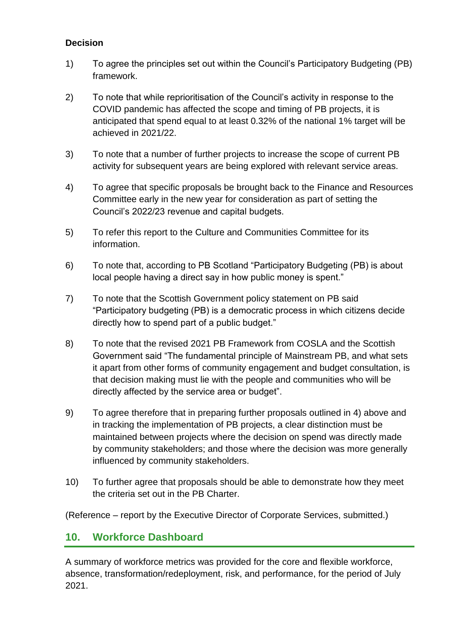#### **Decision**

- 1) To agree the principles set out within the Council's Participatory Budgeting (PB) framework.
- 2) To note that while reprioritisation of the Council's activity in response to the COVID pandemic has affected the scope and timing of PB projects, it is anticipated that spend equal to at least 0.32% of the national 1% target will be achieved in 2021/22.
- 3) To note that a number of further projects to increase the scope of current PB activity for subsequent years are being explored with relevant service areas.
- 4) To agree that specific proposals be brought back to the Finance and Resources Committee early in the new year for consideration as part of setting the Council's 2022/23 revenue and capital budgets.
- 5) To refer this report to the Culture and Communities Committee for its information.
- 6) To note that, according to PB Scotland "Participatory Budgeting (PB) is about local people having a direct say in how public money is spent."
- 7) To note that the Scottish Government policy statement on PB said "Participatory budgeting (PB) is a democratic process in which citizens decide directly how to spend part of a public budget."
- 8) To note that the revised 2021 PB Framework from COSLA and the Scottish Government said "The fundamental principle of Mainstream PB, and what sets it apart from other forms of community engagement and budget consultation, is that decision making must lie with the people and communities who will be directly affected by the service area or budget".
- 9) To agree therefore that in preparing further proposals outlined in 4) above and in tracking the implementation of PB projects, a clear distinction must be maintained between projects where the decision on spend was directly made by community stakeholders; and those where the decision was more generally influenced by community stakeholders.
- 10) To further agree that proposals should be able to demonstrate how they meet the criteria set out in the PB Charter.

(Reference – report by the Executive Director of Corporate Services, submitted.)

### **10. Workforce Dashboard**

A summary of workforce metrics was provided for the core and flexible workforce, absence, transformation/redeployment, risk, and performance, for the period of July 2021.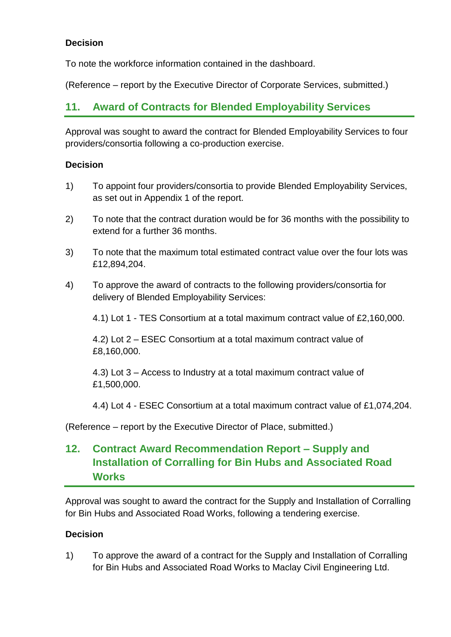#### **Decision**

To note the workforce information contained in the dashboard.

(Reference – report by the Executive Director of Corporate Services, submitted.)

### **11. Award of Contracts for Blended Employability Services**

Approval was sought to award the contract for Blended Employability Services to four providers/consortia following a co-production exercise.

#### **Decision**

- 1) To appoint four providers/consortia to provide Blended Employability Services, as set out in Appendix 1 of the report.
- 2) To note that the contract duration would be for 36 months with the possibility to extend for a further 36 months.
- 3) To note that the maximum total estimated contract value over the four lots was £12,894,204.
- 4) To approve the award of contracts to the following providers/consortia for delivery of Blended Employability Services:

4.1) Lot 1 - TES Consortium at a total maximum contract value of £2,160,000.

4.2) Lot 2 – ESEC Consortium at a total maximum contract value of £8,160,000.

4.3) Lot 3 – Access to Industry at a total maximum contract value of £1,500,000.

4.4) Lot 4 - ESEC Consortium at a total maximum contract value of £1,074,204.

(Reference – report by the Executive Director of Place, submitted.)

### **12. Contract Award Recommendation Report – Supply and Installation of Corralling for Bin Hubs and Associated Road Works**

Approval was sought to award the contract for the Supply and Installation of Corralling for Bin Hubs and Associated Road Works, following a tendering exercise.

#### **Decision**

1) To approve the award of a contract for the Supply and Installation of Corralling for Bin Hubs and Associated Road Works to Maclay Civil Engineering Ltd.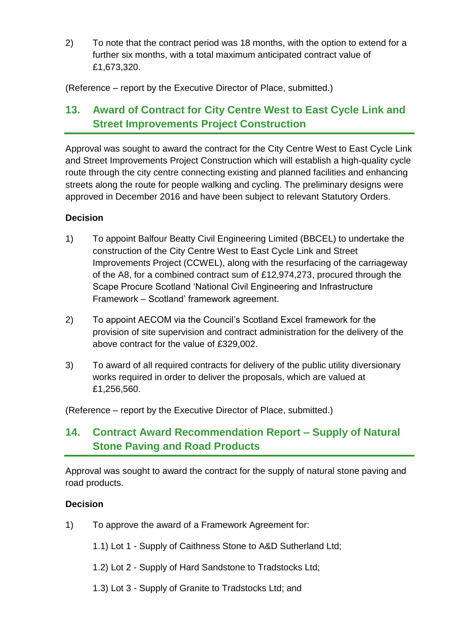2) To note that the contract period was 18 months, with the option to extend for a further six months, with a total maximum anticipated contract value of £1,673,320.

(Reference – report by the Executive Director of Place, submitted.)

### **13. Award of Contract for City Centre West to East Cycle Link and Street Improvements Project Construction**

Approval was sought to award the contract for the City Centre West to East Cycle Link and Street Improvements Project Construction which will establish a high-quality cycle route through the city centre connecting existing and planned facilities and enhancing streets along the route for people walking and cycling. The preliminary designs were approved in December 2016 and have been subject to relevant Statutory Orders.

#### **Decision**

- 1) To appoint Balfour Beatty Civil Engineering Limited (BBCEL) to undertake the construction of the City Centre West to East Cycle Link and Street Improvements Project (CCWEL), along with the resurfacing of the carriageway of the A8, for a combined contract sum of £12,974,273, procured through the Scape Procure Scotland 'National Civil Engineering and Infrastructure Framework – Scotland' framework agreement.
- 2) To appoint AECOM via the Council's Scotland Excel framework for the provision of site supervision and contract administration for the delivery of the above contract for the value of £329,002.
- 3) To award of all required contracts for delivery of the public utility diversionary works required in order to deliver the proposals, which are valued at £1,256,560.

(Reference – report by the Executive Director of Place, submitted.)

### **14. Contract Award Recommendation Report – Supply of Natural Stone Paving and Road Products**

Approval was sought to award the contract for the supply of natural stone paving and road products.

#### **Decision**

- 1) To approve the award of a Framework Agreement for:
	- 1.1) Lot 1 Supply of Caithness Stone to A&D Sutherland Ltd;
	- 1.2) Lot 2 Supply of Hard Sandstone to Tradstocks Ltd;
	- 1.3) Lot 3 Supply of Granite to Tradstocks Ltd; and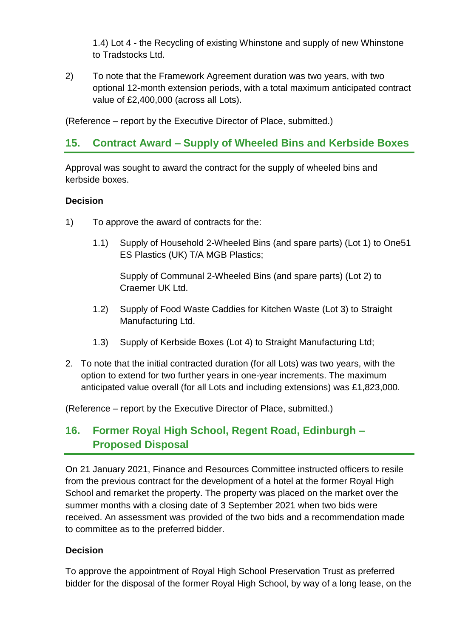1.4) Lot 4 - the Recycling of existing Whinstone and supply of new Whinstone to Tradstocks Ltd.

2) To note that the Framework Agreement duration was two years, with two optional 12-month extension periods, with a total maximum anticipated contract value of £2,400,000 (across all Lots).

(Reference – report by the Executive Director of Place, submitted.)

### **15. Contract Award – Supply of Wheeled Bins and Kerbside Boxes**

Approval was sought to award the contract for the supply of wheeled bins and kerbside boxes.

#### **Decision**

- 1) To approve the award of contracts for the:
	- 1.1) Supply of Household 2-Wheeled Bins (and spare parts) (Lot 1) to One51 ES Plastics (UK) T/A MGB Plastics;

Supply of Communal 2-Wheeled Bins (and spare parts) (Lot 2) to Craemer UK Ltd.

- 1.2) Supply of Food Waste Caddies for Kitchen Waste (Lot 3) to Straight Manufacturing Ltd.
- 1.3) Supply of Kerbside Boxes (Lot 4) to Straight Manufacturing Ltd;
- 2. To note that the initial contracted duration (for all Lots) was two years, with the option to extend for two further years in one-year increments. The maximum anticipated value overall (for all Lots and including extensions) was £1,823,000.

(Reference – report by the Executive Director of Place, submitted.)

### **16. Former Royal High School, Regent Road, Edinburgh – Proposed Disposal**

On 21 January 2021, Finance and Resources Committee instructed officers to resile from the previous contract for the development of a hotel at the former Royal High School and remarket the property. The property was placed on the market over the summer months with a closing date of 3 September 2021 when two bids were received. An assessment was provided of the two bids and a recommendation made to committee as to the preferred bidder.

#### **Decision**

To approve the appointment of Royal High School Preservation Trust as preferred bidder for the disposal of the former Royal High School, by way of a long lease, on the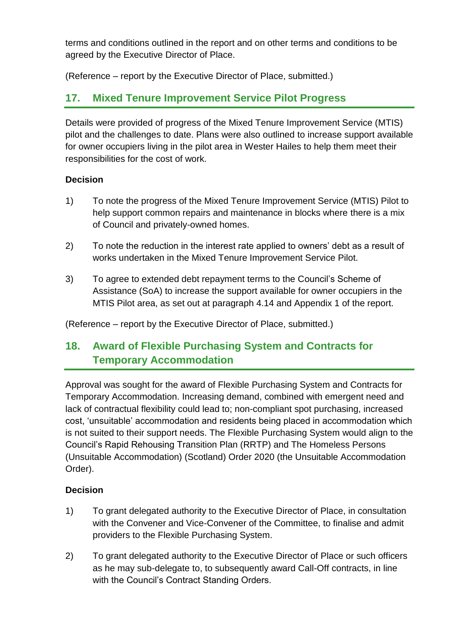terms and conditions outlined in the report and on other terms and conditions to be agreed by the Executive Director of Place.

(Reference – report by the Executive Director of Place, submitted.)

### **17. Mixed Tenure Improvement Service Pilot Progress**

Details were provided of progress of the Mixed Tenure Improvement Service (MTIS) pilot and the challenges to date. Plans were also outlined to increase support available for owner occupiers living in the pilot area in Wester Hailes to help them meet their responsibilities for the cost of work.

#### **Decision**

- 1) To note the progress of the Mixed Tenure Improvement Service (MTIS) Pilot to help support common repairs and maintenance in blocks where there is a mix of Council and privately-owned homes.
- 2) To note the reduction in the interest rate applied to owners' debt as a result of works undertaken in the Mixed Tenure Improvement Service Pilot.
- 3) To agree to extended debt repayment terms to the Council's Scheme of Assistance (SoA) to increase the support available for owner occupiers in the MTIS Pilot area, as set out at paragraph 4.14 and Appendix 1 of the report.

(Reference – report by the Executive Director of Place, submitted.)

### **18. Award of Flexible Purchasing System and Contracts for Temporary Accommodation**

Approval was sought for the award of Flexible Purchasing System and Contracts for Temporary Accommodation. Increasing demand, combined with emergent need and lack of contractual flexibility could lead to; non-compliant spot purchasing, increased cost, 'unsuitable' accommodation and residents being placed in accommodation which is not suited to their support needs. The Flexible Purchasing System would align to the Council's Rapid Rehousing Transition Plan (RRTP) and The Homeless Persons (Unsuitable Accommodation) (Scotland) Order 2020 (the Unsuitable Accommodation Order).

#### **Decision**

- 1) To grant delegated authority to the Executive Director of Place, in consultation with the Convener and Vice-Convener of the Committee, to finalise and admit providers to the Flexible Purchasing System.
- 2) To grant delegated authority to the Executive Director of Place or such officers as he may sub-delegate to, to subsequently award Call-Off contracts, in line with the Council's Contract Standing Orders.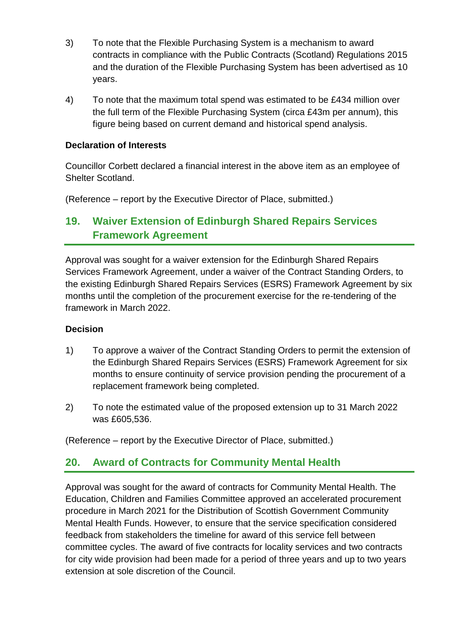- 3) To note that the Flexible Purchasing System is a mechanism to award contracts in compliance with the Public Contracts (Scotland) Regulations 2015 and the duration of the Flexible Purchasing System has been advertised as 10 years.
- 4) To note that the maximum total spend was estimated to be £434 million over the full term of the Flexible Purchasing System (circa £43m per annum), this figure being based on current demand and historical spend analysis.

#### **Declaration of Interests**

Councillor Corbett declared a financial interest in the above item as an employee of Shelter Scotland.

(Reference – report by the Executive Director of Place, submitted.)

### **19. Waiver Extension of Edinburgh Shared Repairs Services Framework Agreement**

Approval was sought for a waiver extension for the Edinburgh Shared Repairs Services Framework Agreement, under a waiver of the Contract Standing Orders, to the existing Edinburgh Shared Repairs Services (ESRS) Framework Agreement by six months until the completion of the procurement exercise for the re-tendering of the framework in March 2022.

#### **Decision**

- 1) To approve a waiver of the Contract Standing Orders to permit the extension of the Edinburgh Shared Repairs Services (ESRS) Framework Agreement for six months to ensure continuity of service provision pending the procurement of a replacement framework being completed.
- 2) To note the estimated value of the proposed extension up to 31 March 2022 was £605,536.

(Reference – report by the Executive Director of Place, submitted.)

### **20. Award of Contracts for Community Mental Health**

Approval was sought for the award of contracts for Community Mental Health. The Education, Children and Families Committee approved an accelerated procurement procedure in March 2021 for the Distribution of Scottish Government Community Mental Health Funds. However, to ensure that the service specification considered feedback from stakeholders the timeline for award of this service fell between committee cycles. The award of five contracts for locality services and two contracts for city wide provision had been made for a period of three years and up to two years extension at sole discretion of the Council.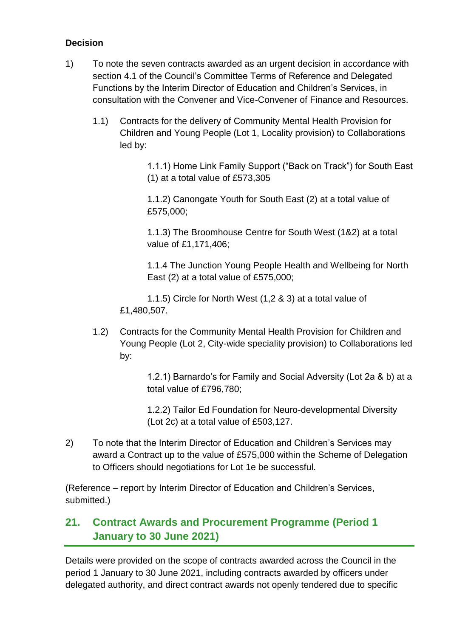#### **Decision**

- 1) To note the seven contracts awarded as an urgent decision in accordance with section 4.1 of the Council's Committee Terms of Reference and Delegated Functions by the Interim Director of Education and Children's Services, in consultation with the Convener and Vice-Convener of Finance and Resources.
	- 1.1) Contracts for the delivery of Community Mental Health Provision for Children and Young People (Lot 1, Locality provision) to Collaborations led by:

1.1.1) Home Link Family Support ("Back on Track") for South East (1) at a total value of £573,305

1.1.2) Canongate Youth for South East (2) at a total value of £575,000;

1.1.3) The Broomhouse Centre for South West (1&2) at a total value of £1,171,406;

1.1.4 The Junction Young People Health and Wellbeing for North East (2) at a total value of £575,000;

1.1.5) Circle for North West (1,2 & 3) at a total value of £1,480,507.

1.2) Contracts for the Community Mental Health Provision for Children and Young People (Lot 2, City-wide speciality provision) to Collaborations led by:

> 1.2.1) Barnardo's for Family and Social Adversity (Lot 2a & b) at a total value of £796,780;

1.2.2) Tailor Ed Foundation for Neuro-developmental Diversity (Lot 2c) at a total value of £503,127.

2) To note that the Interim Director of Education and Children's Services may award a Contract up to the value of £575,000 within the Scheme of Delegation to Officers should negotiations for Lot 1e be successful.

(Reference – report by Interim Director of Education and Children's Services, submitted.)

### **21. Contract Awards and Procurement Programme (Period 1 January to 30 June 2021)**

Details were provided on the scope of contracts awarded across the Council in the period 1 January to 30 June 2021, including contracts awarded by officers under delegated authority, and direct contract awards not openly tendered due to specific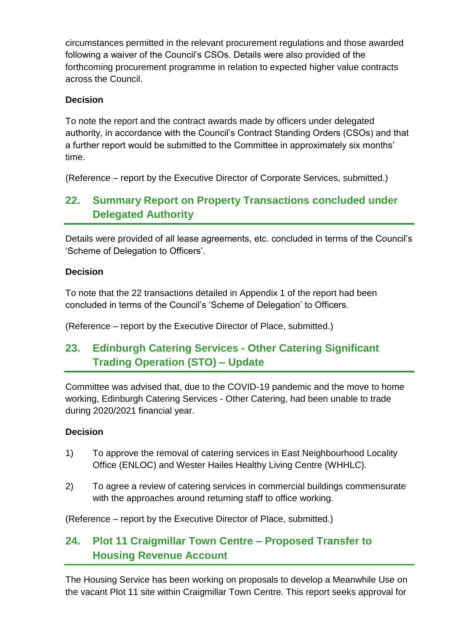circumstances permitted in the relevant procurement regulations and those awarded following a waiver of the Council's CSOs. Details were also provided of the forthcoming procurement programme in relation to expected higher value contracts across the Council.

#### **Decision**

To note the report and the contract awards made by officers under delegated authority, in accordance with the Council's Contract Standing Orders (CSOs) and that a further report would be submitted to the Committee in approximately six months' time.

(Reference – report by the Executive Director of Corporate Services, submitted.)

### **22. Summary Report on Property Transactions concluded under Delegated Authority**

Details were provided of all lease agreements, etc. concluded in terms of the Council's 'Scheme of Delegation to Officers'.

#### **Decision**

To note that the 22 transactions detailed in Appendix 1 of the report had been concluded in terms of the Council's 'Scheme of Delegation' to Officers.

(Reference – report by the Executive Director of Place, submitted.)

### **23. Edinburgh Catering Services - Other Catering Significant Trading Operation (STO) – Update**

Committee was advised that, due to the COVID-19 pandemic and the move to home working, Edinburgh Catering Services - Other Catering, had been unable to trade during 2020/2021 financial year.

#### **Decision**

- 1) To approve the removal of catering services in East Neighbourhood Locality Office (ENLOC) and Wester Hailes Healthy Living Centre (WHHLC).
- 2) To agree a review of catering services in commercial buildings commensurate with the approaches around returning staff to office working.

(Reference – report by the Executive Director of Place, submitted.)

### **24. Plot 11 Craigmillar Town Centre – Proposed Transfer to Housing Revenue Account**

The Housing Service has been working on proposals to develop a Meanwhile Use on the vacant Plot 11 site within Craigmillar Town Centre. This report seeks approval for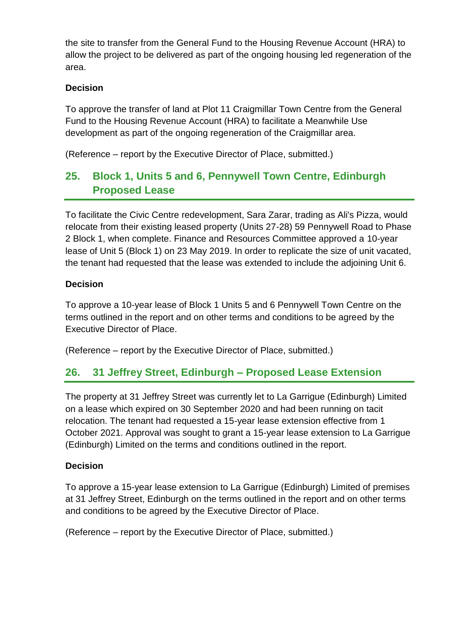the site to transfer from the General Fund to the Housing Revenue Account (HRA) to allow the project to be delivered as part of the ongoing housing led regeneration of the area.

#### **Decision**

To approve the transfer of land at Plot 11 Craigmillar Town Centre from the General Fund to the Housing Revenue Account (HRA) to facilitate a Meanwhile Use development as part of the ongoing regeneration of the Craigmillar area.

(Reference – report by the Executive Director of Place, submitted.)

### **25. Block 1, Units 5 and 6, Pennywell Town Centre, Edinburgh Proposed Lease**

To facilitate the Civic Centre redevelopment, Sara Zarar, trading as Ali's Pizza, would relocate from their existing leased property (Units 27-28) 59 Pennywell Road to Phase 2 Block 1, when complete. Finance and Resources Committee approved a 10-year lease of Unit 5 (Block 1) on 23 May 2019. In order to replicate the size of unit vacated, the tenant had requested that the lease was extended to include the adjoining Unit 6.

#### **Decision**

To approve a 10-year lease of Block 1 Units 5 and 6 Pennywell Town Centre on the terms outlined in the report and on other terms and conditions to be agreed by the Executive Director of Place.

(Reference – report by the Executive Director of Place, submitted.)

### **26. 31 Jeffrey Street, Edinburgh – Proposed Lease Extension**

The property at 31 Jeffrey Street was currently let to La Garrigue (Edinburgh) Limited on a lease which expired on 30 September 2020 and had been running on tacit relocation. The tenant had requested a 15-year lease extension effective from 1 October 2021. Approval was sought to grant a 15-year lease extension to La Garrigue (Edinburgh) Limited on the terms and conditions outlined in the report.

#### **Decision**

To approve a 15-year lease extension to La Garrigue (Edinburgh) Limited of premises at 31 Jeffrey Street, Edinburgh on the terms outlined in the report and on other terms and conditions to be agreed by the Executive Director of Place.

(Reference – report by the Executive Director of Place, submitted.)